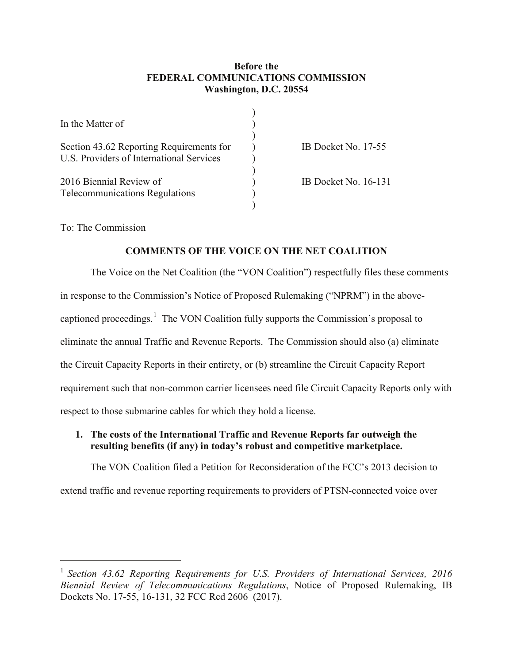### **Before the FEDERAL COMMUNICATIONS COMMISSION Washington, D.C. 20554**

| In the Matter of                         |                      |
|------------------------------------------|----------------------|
| Section 43.62 Reporting Requirements for | IB Docket No. 17-55  |
| U.S. Providers of International Services |                      |
| 2016 Biennial Review of                  | IB Docket No. 16-131 |
| <b>Telecommunications Regulations</b>    |                      |
|                                          |                      |

To: The Commission

## **COMMENTS OF THE VOICE ON THE NET COALITION**

The Voice on the Net Coalition (the "VON Coalition") respectfully files these comments in response to the Commission's Notice of Proposed Rulemaking ("NPRM") in the abovecaptioned proceedings.<sup>1</sup> The VON Coalition fully supports the Commission's proposal to eliminate the annual Traffic and Revenue Reports. The Commission should also (a) eliminate the Circuit Capacity Reports in their entirety, or (b) streamline the Circuit Capacity Report requirement such that non-common carrier licensees need file Circuit Capacity Reports only with respect to those submarine cables for which they hold a license.

## **1. The costs of the International Traffic and Revenue Reports far outweigh the resulting benefits (if any) in today's robust and competitive marketplace.**

The VON Coalition filed a Petition for Reconsideration of the FCC's 2013 decision to

extend traffic and revenue reporting requirements to providers of PTSN-connected voice over

<sup>&</sup>lt;sup>1</sup> Section 43.62 Reporting Requirements for U.S. Providers of International Services, 2016 *Biennial Review of Telecommunications Regulations*, Notice of Proposed Rulemaking, IB Dockets No. 17-55, 16-131, 32 FCC Rcd 2606 (2017).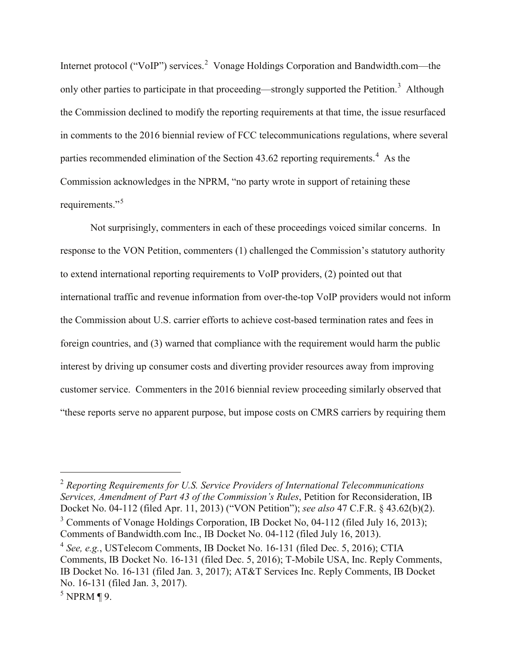Internet protocol ("VoIP") services.<sup>2</sup> Vonage Holdings Corporation and Bandwidth.com—the only other parties to participate in that proceeding—strongly supported the Petition.<sup>3</sup> Although the Commission declined to modify the reporting requirements at that time, the issue resurfaced in comments to the 2016 biennial review of FCC telecommunications regulations, where several parties recommended elimination of the Section  $43.62$  reporting requirements.<sup>4</sup> As the Commission acknowledges in the NPRM, "no party wrote in support of retaining these requirements."<sup>5</sup>

Not surprisingly, commenters in each of these proceedings voiced similar concerns. In response to the VON Petition, commenters (1) challenged the Commission's statutory authority to extend international reporting requirements to VoIP providers, (2) pointed out that international traffic and revenue information from over-the-top VoIP providers would not inform the Commission about U.S. carrier efforts to achieve cost-based termination rates and fees in foreign countries, and (3) warned that compliance with the requirement would harm the public interest by driving up consumer costs and diverting provider resources away from improving customer service. Commenters in the 2016 biennial review proceeding similarly observed that "these reports serve no apparent purpose, but impose costs on CMRS carriers by requiring them

 2 *Reporting Requirements for U.S. Service Providers of International Telecommunications Services, Amendment of Part 43 of the Commission's Rules*, Petition for Reconsideration, IB Docket No. 04-112 (filed Apr. 11, 2013) ("VON Petition"); *see also* 47 C.F.R. § 43.62(b)(2).

<sup>3</sup> Comments of Vonage Holdings Corporation, IB Docket No, 04-112 (filed July 16, 2013); Comments of Bandwidth.com Inc., IB Docket No. 04-112 (filed July 16, 2013).

 $^4$  See, e.g., USTelecom Comments, IB Docket No. 16-131 (filed Dec. 5, 2016); CTIA Comments, IB Docket No. 16-131 (filed Dec. 5, 2016); T-Mobile USA, Inc. Reply Comments, IB Docket No. 16-131 (filed Jan. 3, 2017); AT&T Services Inc. Reply Comments, IB Docket No. 16-131 (filed Jan. 3, 2017).

 $<sup>5</sup>$  NPRM ¶ 9.</sup>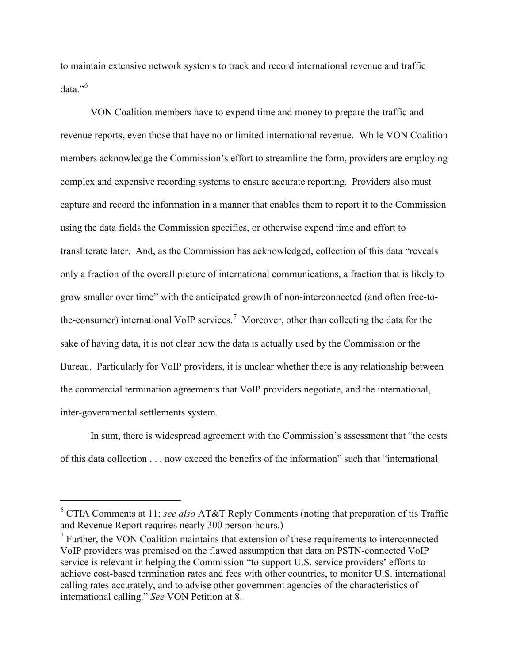to maintain extensive network systems to track and record international revenue and traffic data."<sup>6</sup>

VON Coalition members have to expend time and money to prepare the traffic and revenue reports, even those that have no or limited international revenue. While VON Coalition members acknowledge the Commission's effort to streamline the form, providers are employing complex and expensive recording systems to ensure accurate reporting. Providers also must capture and record the information in a manner that enables them to report it to the Commission using the data fields the Commission specifies, or otherwise expend time and effort to transliterate later. And, as the Commission has acknowledged, collection of this data "reveals only a fraction of the overall picture of international communications, a fraction that is likely to grow smaller over time" with the anticipated growth of non-interconnected (and often free-tothe-consumer) international VoIP services.<sup>7</sup> Moreover, other than collecting the data for the sake of having data, it is not clear how the data is actually used by the Commission or the Bureau. Particularly for VoIP providers, it is unclear whether there is any relationship between the commercial termination agreements that VoIP providers negotiate, and the international, inter-governmental settlements system.

In sum, there is widespread agreement with the Commission's assessment that "the costs of this data collection . . . now exceed the benefits of the information" such that "international

 <sup>6</sup> CTIA Comments at 11; *see also* AT&T Reply Comments (noting that preparation of tis Traffic and Revenue Report requires nearly 300 person-hours.)

 $<sup>7</sup>$  Further, the VON Coalition maintains that extension of these requirements to interconnected</sup> VoIP providers was premised on the flawed assumption that data on PSTN-connected VoIP service is relevant in helping the Commission "to support U.S. service providers' efforts to achieve cost-based termination rates and fees with other countries, to monitor U.S. international calling rates accurately, and to advise other government agencies of the characteristics of international calling." *See* VON Petition at 8.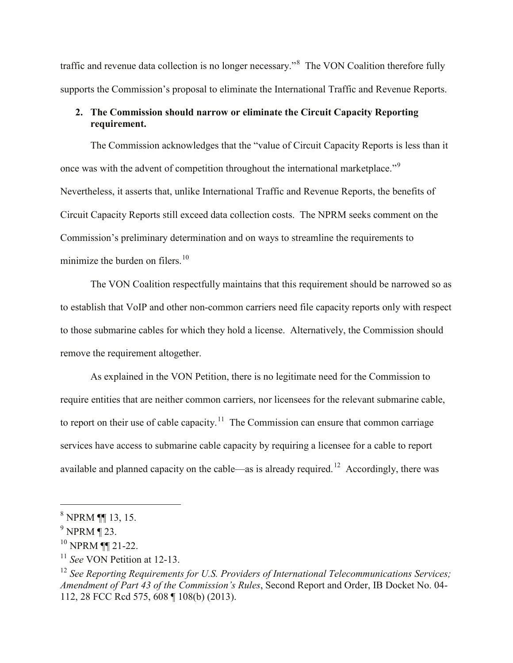traffic and revenue data collection is no longer necessary."<sup>8</sup> The VON Coalition therefore fully supports the Commission's proposal to eliminate the International Traffic and Revenue Reports.

# **2. The Commission should narrow or eliminate the Circuit Capacity Reporting requirement.**

The Commission acknowledges that the "value of Circuit Capacity Reports is less than it once was with the advent of competition throughout the international marketplace."<sup>9</sup> Nevertheless, it asserts that, unlike International Traffic and Revenue Reports, the benefits of Circuit Capacity Reports still exceed data collection costs. The NPRM seeks comment on the Commission's preliminary determination and on ways to streamline the requirements to minimize the burden on filers. $10$ 

The VON Coalition respectfully maintains that this requirement should be narrowed so as to establish that VoIP and other non-common carriers need file capacity reports only with respect to those submarine cables for which they hold a license. Alternatively, the Commission should remove the requirement altogether.

As explained in the VON Petition, there is no legitimate need for the Commission to require entities that are neither common carriers, nor licensees for the relevant submarine cable, to report on their use of cable capacity.<sup>11</sup> The Commission can ensure that common carriage services have access to submarine cable capacity by requiring a licensee for a cable to report available and planned capacity on the cable—as is already required.<sup>12</sup> Accordingly, there was

 <sup>8</sup> NPRM ¶¶ 13, 15.

 $9$  NPRM ¶ 23.

<sup>10</sup> NPRM ¶¶ 21-22.

<sup>11</sup> *See* VON Petition at 12-13.

<sup>12</sup> *See Reporting Requirements for U.S. Providers of International Telecommunications Services; Amendment of Part 43 of the Commission's Rules*, Second Report and Order, IB Docket No. 04- 112, 28 FCC Rcd 575, 608 ¶ 108(b) (2013).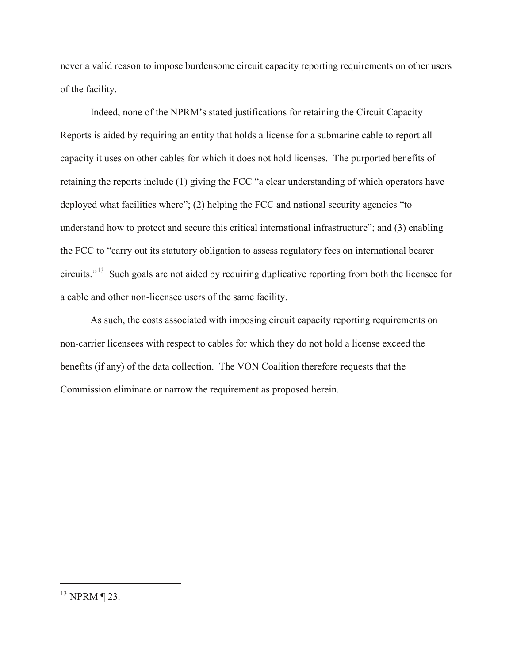never a valid reason to impose burdensome circuit capacity reporting requirements on other users of the facility.

Indeed, none of the NPRM's stated justifications for retaining the Circuit Capacity Reports is aided by requiring an entity that holds a license for a submarine cable to report all capacity it uses on other cables for which it does not hold licenses. The purported benefits of retaining the reports include (1) giving the FCC "a clear understanding of which operators have deployed what facilities where"; (2) helping the FCC and national security agencies "to understand how to protect and secure this critical international infrastructure"; and (3) enabling the FCC to "carry out its statutory obligation to assess regulatory fees on international bearer circuits."<sup>13</sup> Such goals are not aided by requiring duplicative reporting from both the licensee for a cable and other non-licensee users of the same facility.

As such, the costs associated with imposing circuit capacity reporting requirements on non-carrier licensees with respect to cables for which they do not hold a license exceed the benefits (if any) of the data collection. The VON Coalition therefore requests that the Commission eliminate or narrow the requirement as proposed herein.

 <sup>13</sup> NPRM ¶ 23.